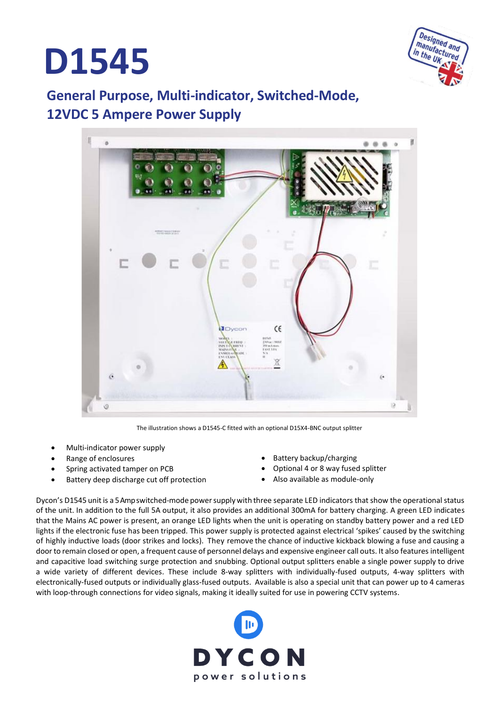# **D1545**



### **General Purpose, Multi-indicator, Switched-Mode, 12VDC 5 Ampere Power Supply**



The illustration shows a D1545-C fitted with an optional D15X4-BNC output splitter

- Multi-indicator power supply
- Range of enclosures
- Spring activated tamper on PCB
- Battery deep discharge cut off protection
- Battery backup/charging
- Optional 4 or 8 way fused splitter
- Also available as module-only

Dycon's D1545 unitis a 5 Ampswitched-mode powersupply with three separate LED indicators that show the operational status of the unit. In addition to the full 5A output, it also provides an additional 300mA for battery charging. A green LED indicates that the Mains AC power is present, an orange LED lights when the unit is operating on standby battery power and a red LED lights if the electronic fuse has been tripped. This power supply is protected against electrical 'spikes' caused by the switching of highly inductive loads (door strikes and locks). They remove the chance of inductive kickback blowing a fuse and causing a door to remain closed or open, a frequent cause of personnel delays and expensive engineer call outs. It also features intelligent and capacitive load switching surge protection and snubbing. Optional output splitters enable a single power supply to drive a wide variety of different devices. These include 8-way splitters with individually-fused outputs, 4-way splitters with electronically-fused outputs or individually glass-fused outputs. Available is also a special unit that can power up to 4 cameras with loop-through connections for video signals, making it ideally suited for use in powering CCTV systems.